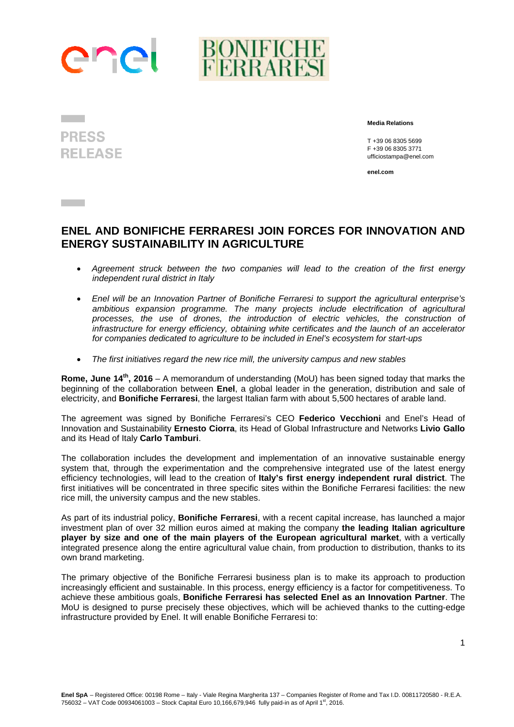

**PRESS RELEASE** 

**Contract Contract** 

 **Media Relations** 

 T +39 06 8305 5699 F +39 06 8305 3771 ufficiostampa@enel.com

**enel.com**

## **ENEL AND BONIFICHE FERRARESI JOIN FORCES FOR INNOVATION AND ENERGY SUSTAINABILITY IN AGRICULTURE**

- *Agreement struck between the two companies will lead to the creation of the first energy independent rural district in Italy*
- *Enel will be an Innovation Partner of Bonifiche Ferraresi to support the agricultural enterprise's ambitious expansion programme. The many projects include electrification of agricultural*  processes, the use of drones, the introduction of electric vehicles, the construction of *infrastructure for energy efficiency, obtaining white certificates and the launch of an accelerator for companies dedicated to agriculture to be included in Enel's ecosystem for start-ups*
- *The first initiatives regard the new rice mill, the university campus and new stables*

**Rome, June 14th, 2016** – A memorandum of understanding (MoU) has been signed today that marks the beginning of the collaboration between **Enel**, a global leader in the generation, distribution and sale of electricity, and **Bonifiche Ferraresi**, the largest Italian farm with about 5,500 hectares of arable land.

The agreement was signed by Bonifiche Ferraresi's CEO **Federico Vecchioni** and Enel's Head of Innovation and Sustainability **Ernesto Ciorra**, its Head of Global Infrastructure and Networks **Livio Gallo** and its Head of Italy **Carlo Tamburi**.

The collaboration includes the development and implementation of an innovative sustainable energy system that, through the experimentation and the comprehensive integrated use of the latest energy efficiency technologies, will lead to the creation of **Italy's first energy independent rural district**. The first initiatives will be concentrated in three specific sites within the Bonifiche Ferraresi facilities: the new rice mill, the university campus and the new stables.

As part of its industrial policy, **Bonifiche Ferraresi**, with a recent capital increase, has launched a major investment plan of over 32 million euros aimed at making the company **the leading Italian agriculture player by size and one of the main players of the European agricultural market**, with a vertically integrated presence along the entire agricultural value chain, from production to distribution, thanks to its own brand marketing.

The primary objective of the Bonifiche Ferraresi business plan is to make its approach to production increasingly efficient and sustainable. In this process, energy efficiency is a factor for competitiveness. To achieve these ambitious goals, **Bonifiche Ferraresi has selected Enel as an Innovation Partner**. The MoU is designed to purse precisely these objectives, which will be achieved thanks to the cutting-edge infrastructure provided by Enel. It will enable Bonifiche Ferraresi to: